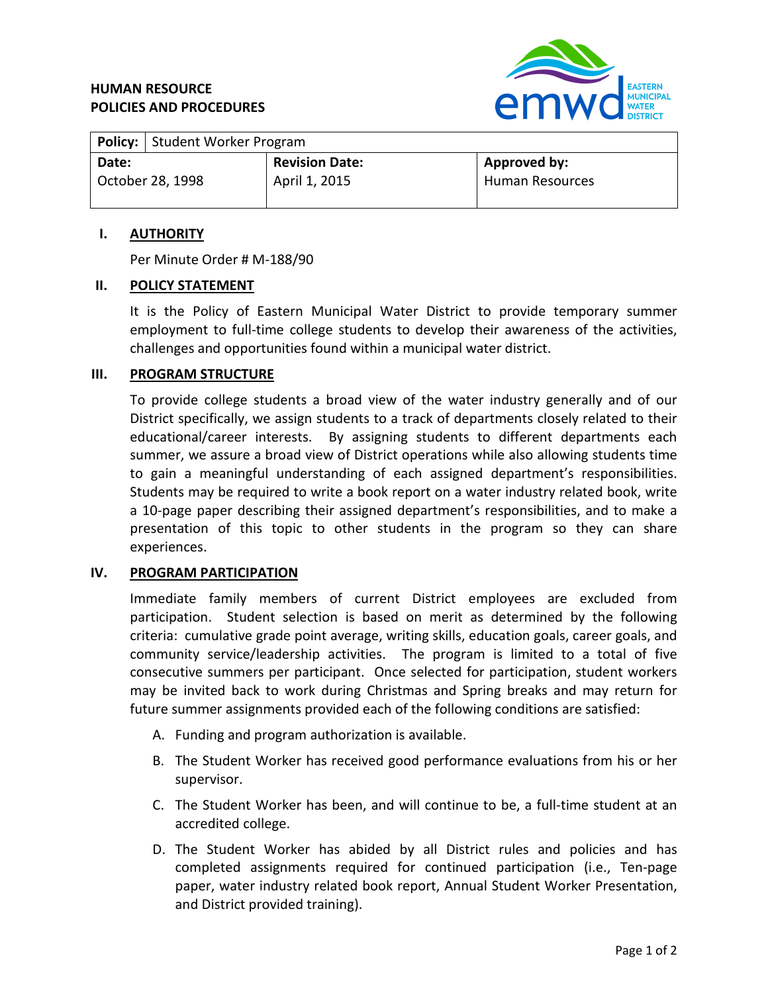# **HUMAN RESOURCE POLICIES AND PROCEDURES**



|                  | <b>Policy:</b> Student Worker Program |                       |                        |
|------------------|---------------------------------------|-----------------------|------------------------|
| Date:            |                                       | <b>Revision Date:</b> | Approved by:           |
| October 28, 1998 |                                       | April 1, 2015         | <b>Human Resources</b> |

#### **I. AUTHORITY**

Per Minute Order # M-188/90

#### **II. POLICY STATEMENT**

It is the Policy of Eastern Municipal Water District to provide temporary summer employment to full-time college students to develop their awareness of the activities, challenges and opportunities found within a municipal water district.

#### **III. PROGRAM STRUCTURE**

To provide college students a broad view of the water industry generally and of our District specifically, we assign students to a track of departments closely related to their educational/career interests. By assigning students to different departments each summer, we assure a broad view of District operations while also allowing students time to gain a meaningful understanding of each assigned department's responsibilities. Students may be required to write a book report on a water industry related book, write a 10-page paper describing their assigned department's responsibilities, and to make a presentation of this topic to other students in the program so they can share experiences.

## **IV. PROGRAM PARTICIPATION**

Immediate family members of current District employees are excluded from participation. Student selection is based on merit as determined by the following criteria: cumulative grade point average, writing skills, education goals, career goals, and community service/leadership activities. The program is limited to a total of five consecutive summers per participant. Once selected for participation, student workers may be invited back to work during Christmas and Spring breaks and may return for future summer assignments provided each of the following conditions are satisfied:

- A. Funding and program authorization is available.
- B. The Student Worker has received good performance evaluations from his or her supervisor.
- C. The Student Worker has been, and will continue to be, a full-time student at an accredited college.
- D. The Student Worker has abided by all District rules and policies and has completed assignments required for continued participation (i.e., Ten-page paper, water industry related book report, Annual Student Worker Presentation, and District provided training).